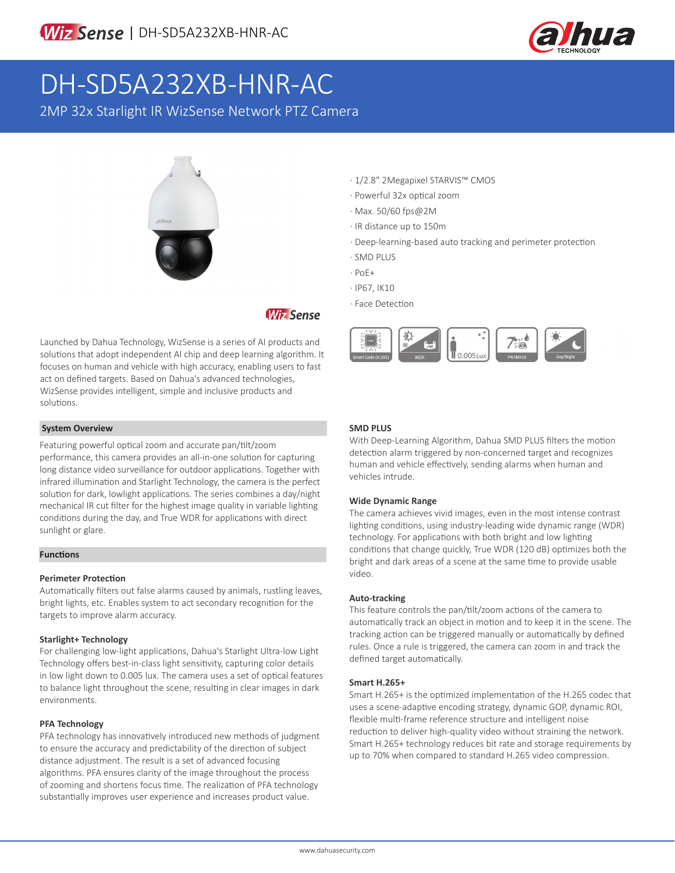

# DH-SD5A232XB-HNR-AC

2MP 32x Starlight IR WizSense Network PTZ Camera



# **Wiz Sense**

Launched by Dahua Technology, WizSense is a series of AI products and solutions that adopt independent AI chip and deep learning algorithm. It focuses on human and vehicle with high accuracy, enabling users to fast act on defined targets. Based on Dahua's advanced technologies, WizSense provides intelligent, simple and inclusive products and solutions.

#### **System Overview**

Featuring powerful optical zoom and accurate pan/tilt/zoom performance, this camera provides an all-in-one solution for capturing long distance video surveillance for outdoor applications. Together with infrared illumination and Starlight Technology, the camera is the perfect solution for dark, lowlight applications. The series combines a day/night mechanical IR cut filter for the highest image quality in variable lighting conditions during the day, and True WDR for applications with direct sunlight or glare.

#### **Functions**

#### **Perimeter Protection**

Automatically filters out false alarms caused by animals, rustling leaves, bright lights, etc. Enables system to act secondary recognition for the targets to improve alarm accuracy.

#### **Starlight+ Technology**

For challenging low-light applications, Dahua's Starlight Ultra-low Light Technology offers best-in-class light sensitivity, capturing color details in low light down to 0.005 lux. The camera uses a set of optical features to balance light throughout the scene, resulting in clear images in dark environments.

#### **PFA Technology**

PFA technology has innovatively introduced new methods of judgment to ensure the accuracy and predictability of the direction of subject distance adjustment. The result is a set of advanced focusing algorithms. PFA ensures clarity of the image throughout the process of zooming and shortens focus time. The realization of PFA technology substantially improves user experience and increases product value.

- · 1/2.8" 2Megapixel STARVIS™ CMOS
- · Powerful 32x optical zoom
- · Max. 50/60 fps@2M
- · IR distance up to 150m
- · Deep-learning-based auto tracking and perimeter protection
- · SMD PLUS
- · PoE+
- · IP67, IK10
- · Face Detection



#### **SMD PLUS**

With Deep-Learning Algorithm, Dahua SMD PLUS filters the motion detection alarm triggered by non-concerned target and recognizes human and vehicle effectively, sending alarms when human and vehicles intrude.

#### **Wide Dynamic Range**

The camera achieves vivid images, even in the most intense contrast lighting conditions, using industry-leading wide dynamic range (WDR) technology. For applications with both bright and low lighting conditions that change quickly, True WDR (120 dB) optimizes both the bright and dark areas of a scene at the same time to provide usable video.

#### **Auto-tracking**

This feature controls the pan/tilt/zoom actions of the camera to automatically track an object in motion and to keep it in the scene. The tracking action can be triggered manually or automatically by defined rules. Once a rule is triggered, the camera can zoom in and track the defined target automatically.

#### **Smart H.265+**

Smart H.265+ is the optimized implementation of the H.265 codec that uses a scene-adaptive encoding strategy, dynamic GOP, dynamic ROI, flexible multi-frame reference structure and intelligent noise reduction to deliver high-quality video without straining the network. Smart H.265+ technology reduces bit rate and storage requirements by up to 70% when compared to standard H.265 video compression.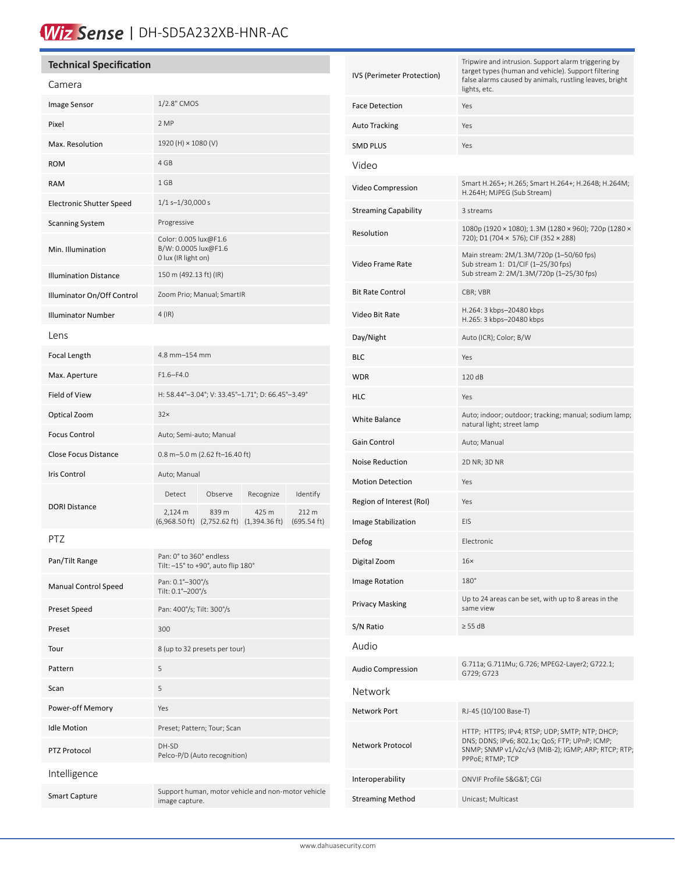# Wiz Sense | DH-SD5A232XB-HNR-AC

### **Technical Specification**

#### Camera

| Camera                       |                                                                                                                                                                               |  |  |
|------------------------------|-------------------------------------------------------------------------------------------------------------------------------------------------------------------------------|--|--|
| Image Sensor                 | 1/2.8" CMOS                                                                                                                                                                   |  |  |
| Pixel                        | 2 MP                                                                                                                                                                          |  |  |
| Max. Resolution              | 1920 (H) × 1080 (V)                                                                                                                                                           |  |  |
| <b>ROM</b>                   | 4 GB                                                                                                                                                                          |  |  |
| <b>RAM</b>                   | 1 GB                                                                                                                                                                          |  |  |
| Electronic Shutter Speed     | $1/1$ s-1/30,000 s                                                                                                                                                            |  |  |
| <b>Scanning System</b>       | Progressive                                                                                                                                                                   |  |  |
| Min. Illumination            | Color: 0.005 lux@F1.6<br>B/W: 0.0005 lux@F1.6<br>0 lux (IR light on)                                                                                                          |  |  |
| <b>Illumination Distance</b> | 150 m (492.13 ft) (IR)                                                                                                                                                        |  |  |
| Illuminator On/Off Control   | Zoom Prio; Manual; SmartIR                                                                                                                                                    |  |  |
| <b>Illuminator Number</b>    | $4$ (IR)                                                                                                                                                                      |  |  |
| Lens                         |                                                                                                                                                                               |  |  |
| <b>Focal Length</b>          | 4.8 mm-154 mm                                                                                                                                                                 |  |  |
| Max. Aperture                | $F1.6 - F4.0$                                                                                                                                                                 |  |  |
| Field of View                | H: 58.44°-3.04°; V: 33.45°-1.71°; D: 66.45°-3.49°                                                                                                                             |  |  |
| Optical Zoom                 | 32x                                                                                                                                                                           |  |  |
| <b>Focus Control</b>         | Auto; Semi-auto; Manual                                                                                                                                                       |  |  |
| Close Focus Distance         | 0.8 m-5.0 m (2.62 ft-16.40 ft)                                                                                                                                                |  |  |
| Iris Control                 | Auto; Manual                                                                                                                                                                  |  |  |
| <b>DORI Distance</b>         | Identify<br>Detect<br>Observe<br>Recognize<br>2,124 m<br>839 m<br>425 m<br>212 m<br>$(6,968.50 \text{ ft})$ $(2,752.62 \text{ ft})$<br>$(1,394.36 \text{ ft})$<br>(695.54 ft) |  |  |
| PTZ                          |                                                                                                                                                                               |  |  |
| Pan/Tilt Range               | Pan: 0° to 360° endless<br>Tilt: -15° to +90°, auto flip 180°                                                                                                                 |  |  |
| Manual Control Speed         | Pan: 0.1°-300°/s<br>Tilt: 0.1°-200°/s                                                                                                                                         |  |  |
| Preset Speed                 | Pan: 400°/s; Tilt: 300°/s                                                                                                                                                     |  |  |
| Preset                       | 300                                                                                                                                                                           |  |  |
| Tour                         | 8 (up to 32 presets per tour)                                                                                                                                                 |  |  |
| Pattern                      | 5                                                                                                                                                                             |  |  |
| Scan                         | 5                                                                                                                                                                             |  |  |
| Power-off Memory             | Yes                                                                                                                                                                           |  |  |
| <b>Idle Motion</b>           | Preset; Pattern; Tour; Scan                                                                                                                                                   |  |  |
| PTZ Protocol                 | DH-SD<br>Pelco-P/D (Auto recognition)                                                                                                                                         |  |  |
| Intelligence                 |                                                                                                                                                                               |  |  |
| <b>Smart Capture</b>         | Support human, motor vehicle and non-motor vehicle<br>image capture.                                                                                                          |  |  |

| IVS (Perimeter Protection) | Tripwire and intrusion. Support alarm triggering by<br>target types (human and vehicle). Support filtering<br>false alarms caused by animals, rustling leaves, bright<br>lights, etc. |
|----------------------------|---------------------------------------------------------------------------------------------------------------------------------------------------------------------------------------|
| <b>Face Detection</b>      | Yes                                                                                                                                                                                   |
| Auto Tracking              | Yes                                                                                                                                                                                   |
| SMD PLUS                   | Yes                                                                                                                                                                                   |
| Video                      |                                                                                                                                                                                       |
| Video Compression          | Smart H.265+; H.265; Smart H.264+; H.264B; H.264M;<br>H.264H; MJPEG (Sub Stream)                                                                                                      |
| Streaming Capability       | 3 streams                                                                                                                                                                             |
| Resolution                 | 1080p (1920 × 1080); 1.3M (1280 × 960); 720p (1280 ×<br>720); D1 (704 × 576); CIF (352 × 288)                                                                                         |
| Video Frame Rate           | Main stream: 2M/1.3M/720p (1-50/60 fps)<br>Sub stream 1: D1/CIF (1-25/30 fps)<br>Sub stream 2: 2M/1.3M/720p (1-25/30 fps)                                                             |
| Bit Rate Control           | CBR; VBR                                                                                                                                                                              |
| Video Bit Rate             | H.264: 3 kbps-20480 kbps<br>H.265: 3 kbps-20480 kbps                                                                                                                                  |
| Day/Night                  | Auto (ICR); Color; B/W                                                                                                                                                                |
| BLC                        | Yes                                                                                                                                                                                   |
| WDR                        | 120 dB                                                                                                                                                                                |
| HLC                        | Yes                                                                                                                                                                                   |
| White Balance              | Auto; indoor; outdoor; tracking; manual; sodium lamp;<br>natural light; street lamp                                                                                                   |
| Gain Control               | Auto; Manual                                                                                                                                                                          |
| Noise Reduction            | 2D NR; 3D NR                                                                                                                                                                          |
| <b>Motion Detection</b>    | Yes                                                                                                                                                                                   |
| Region of Interest (RoI)   | Yes                                                                                                                                                                                   |
| Image Stabilization        | EIS                                                                                                                                                                                   |
| Defog                      | Electronic                                                                                                                                                                            |
| Digital Zoom               | 16x                                                                                                                                                                                   |
| Image Rotation             | 180°                                                                                                                                                                                  |
| Privacy Masking            | Up to 24 areas can be set, with up to 8 areas in the<br>same view                                                                                                                     |
| S/N Ratio                  | $\geq$ 55 dB                                                                                                                                                                          |
| Audio                      |                                                                                                                                                                                       |
| Audio Compression          | G.711a; G.711Mu; G.726; MPEG2-Layer2; G722.1;<br>G729; G723                                                                                                                           |
| Network                    |                                                                                                                                                                                       |
| Network Port               | RJ-45 (10/100 Base-T)                                                                                                                                                                 |
| Network Protocol           | HTTP; HTTPS; IPv4; RTSP; UDP; SMTP; NTP; DHCP;<br>DNS; DDNS; IPv6; 802.1x; QoS; FTP; UPnP; ICMP;<br>SNMP; SNMP v1/v2c/v3 (MIB-2); IGMP; ARP; RTCP; RTP;<br>PPPoE; RTMP; TCP           |
| Interoperability           | ONVIF Profile S&G&T CGI                                                                                                                                                               |
| Streaming Method           | Unicast; Multicast                                                                                                                                                                    |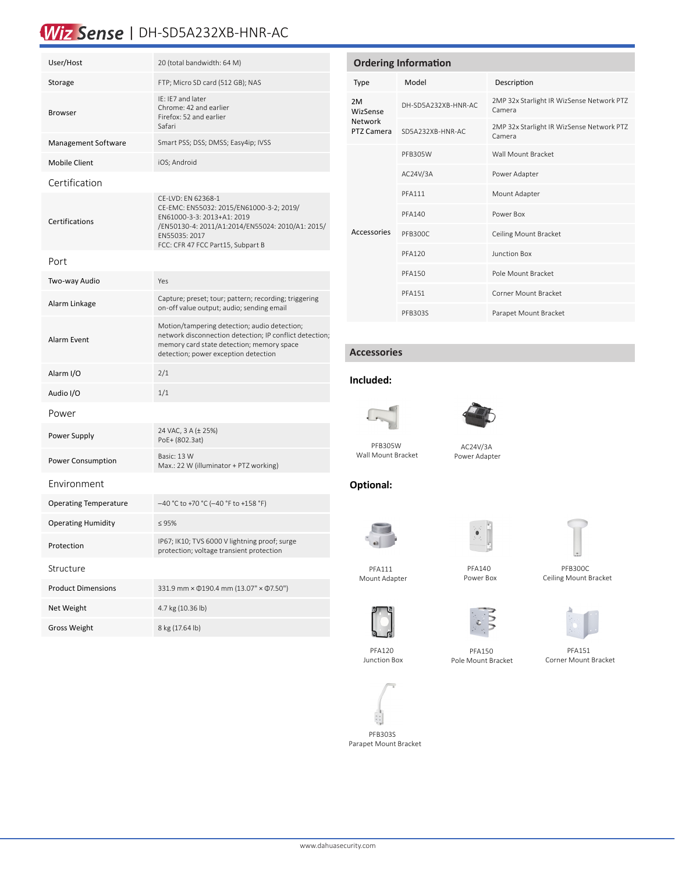# Wiz Sense | DH-SD5A232XB-HNR-AC

| User/Host                    | 20 (total bandwidth: 64 M)                                                                                                                                                                             |  |  |  |
|------------------------------|--------------------------------------------------------------------------------------------------------------------------------------------------------------------------------------------------------|--|--|--|
| Storage                      | FTP; Micro SD card (512 GB); NAS                                                                                                                                                                       |  |  |  |
| <b>Browser</b>               | IE: IE7 and later<br>Chrome: 42 and earlier<br>Firefox: 52 and earlier<br>Safari                                                                                                                       |  |  |  |
| <b>Management Software</b>   | Smart PSS; DSS; DMSS; Easy4ip; IVSS                                                                                                                                                                    |  |  |  |
| <b>Mobile Client</b>         | iOS; Android                                                                                                                                                                                           |  |  |  |
| Certification                |                                                                                                                                                                                                        |  |  |  |
| Certifications               | CE-LVD: EN 62368-1<br>CE-EMC: EN55032: 2015/EN61000-3-2; 2019/<br>EN61000-3-3: 2013+A1: 2019<br>/EN50130-4: 2011/A1:2014/EN55024: 2010/A1: 2015/<br>EN55035: 2017<br>FCC: CFR 47 FCC Part15, Subpart B |  |  |  |
| Port                         |                                                                                                                                                                                                        |  |  |  |
| Two-way Audio                | Yes                                                                                                                                                                                                    |  |  |  |
| Alarm Linkage                | Capture; preset; tour; pattern; recording; triggering<br>on-off value output; audio; sending email                                                                                                     |  |  |  |
| Alarm Event                  | Motion/tampering detection; audio detection;<br>network disconnection detection; IP conflict detection;<br>memory card state detection; memory space<br>detection; power exception detection           |  |  |  |
| Alarm I/O                    | 2/1                                                                                                                                                                                                    |  |  |  |
| Audio I/O                    | 1/1                                                                                                                                                                                                    |  |  |  |
| Power                        |                                                                                                                                                                                                        |  |  |  |
| Power Supply                 | 24 VAC, 3 A (± 25%)<br>PoE+ (802.3at)                                                                                                                                                                  |  |  |  |
| Power Consumption            | Basic: 13 W<br>Max.: 22 W (illuminator + PTZ working)                                                                                                                                                  |  |  |  |
| Environment                  |                                                                                                                                                                                                        |  |  |  |
| <b>Operating Temperature</b> | -40 °C to +70 °C (-40 °F to +158 °F)                                                                                                                                                                   |  |  |  |
| <b>Operating Humidity</b>    | $\leq 95\%$                                                                                                                                                                                            |  |  |  |
| Protection                   | IP67; IK10; TVS 6000 V lightning proof; surge<br>protection; voltage transient protection                                                                                                              |  |  |  |
| Structure                    |                                                                                                                                                                                                        |  |  |  |
| <b>Product Dimensions</b>    | 331.9 mm × $\Phi$ 190.4 mm (13.07" × $\Phi$ 7.50")                                                                                                                                                     |  |  |  |
| Net Weight                   | 4.7 kg (10.36 lb)                                                                                                                                                                                      |  |  |  |
| <b>Gross Weight</b>          | 8 kg (17.64 lb)                                                                                                                                                                                        |  |  |  |

| <b>Ordering Information</b>             |                     |                                                     |  |  |
|-----------------------------------------|---------------------|-----------------------------------------------------|--|--|
| Type                                    | Model               | Description                                         |  |  |
| 2M<br>WizSense<br>Network<br>PTZ Camera | DH-SD5A232XB-HNR-AC | 2MP 32x Starlight IR WizSense Network PTZ<br>Camera |  |  |
|                                         | SD5A232XB-HNR-AC    | 2MP 32x Starlight IR WizSense Network PTZ<br>Camera |  |  |
|                                         | PFB305W             | Wall Mount Bracket                                  |  |  |
|                                         | AC24V/3A            | Power Adapter                                       |  |  |
|                                         | <b>PFA111</b>       | Mount Adapter                                       |  |  |
|                                         | <b>PFA140</b>       | Power Box                                           |  |  |
| Accessories                             | <b>PFB300C</b>      | Ceiling Mount Bracket                               |  |  |
|                                         | <b>PFA120</b>       | Junction Box                                        |  |  |
|                                         | <b>PFA150</b>       | Pole Mount Bracket                                  |  |  |
|                                         | <b>PFA151</b>       | Corner Mount Bracket                                |  |  |
|                                         | PFB303S             | Parapet Mount Bracket                               |  |  |

### **Accessories**

# **Included:**





 PFB305W Wall Mount Bracket

 AC24V/3A Power Adapter

### **Optional:**



Mount Adapter

 PFA140 Power Box

 PFB300C Ceiling Mount Bracket



 PFA151 Corner Mount Bracket







 PFB303S Parapet Mount Bracket



PFA111